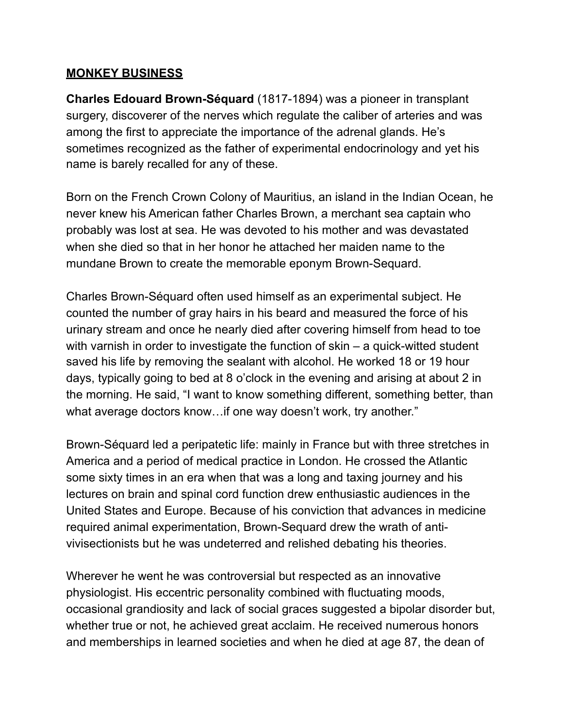## **MONKEY BUSINESS**

**Charles Edouard Brown-Séquard** (1817-1894) was a pioneer in transplant surgery, discoverer of the nerves which regulate the caliber of arteries and was among the first to appreciate the importance of the adrenal glands. He's sometimes recognized as the father of experimental endocrinology and yet his name is barely recalled for any of these.

Born on the French Crown Colony of Mauritius, an island in the Indian Ocean, he never knew his American father Charles Brown, a merchant sea captain who probably was lost at sea. He was devoted to his mother and was devastated when she died so that in her honor he attached her maiden name to the mundane Brown to create the memorable eponym Brown-Sequard.

Charles Brown-Séquard often used himself as an experimental subject. He counted the number of gray hairs in his beard and measured the force of his urinary stream and once he nearly died after covering himself from head to toe with varnish in order to investigate the function of skin – a quick-witted student saved his life by removing the sealant with alcohol. He worked 18 or 19 hour days, typically going to bed at 8 o'clock in the evening and arising at about 2 in the morning. He said, "I want to know something different, something better, than what average doctors know... if one way doesn't work, try another."

Brown-Séquard led a peripatetic life: mainly in France but with three stretches in America and a period of medical practice in London. He crossed the Atlantic some sixty times in an era when that was a long and taxing journey and his lectures on brain and spinal cord function drew enthusiastic audiences in the United States and Europe. Because of his conviction that advances in medicine required animal experimentation, Brown-Sequard drew the wrath of antivivisectionists but he was undeterred and relished debating his theories.

Wherever he went he was controversial but respected as an innovative physiologist. His eccentric personality combined with fluctuating moods, occasional grandiosity and lack of social graces suggested a bipolar disorder but, whether true or not, he achieved great acclaim. He received numerous honors and memberships in learned societies and when he died at age 87, the dean of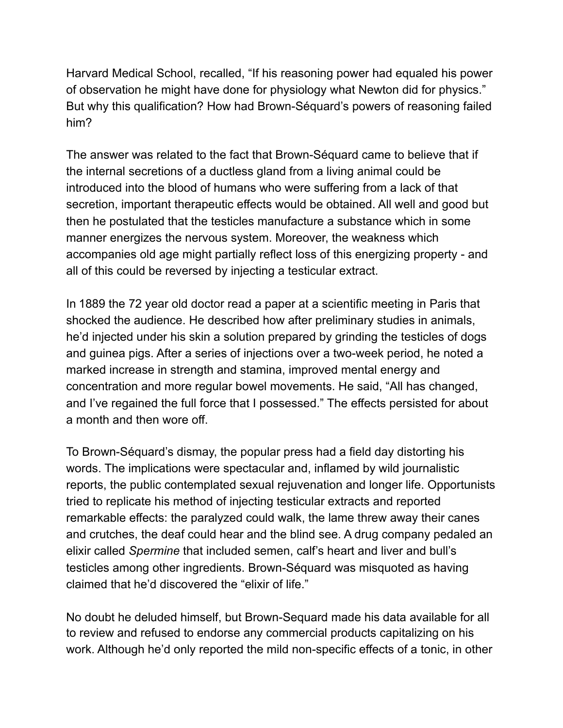Harvard Medical School, recalled, "If his reasoning power had equaled his power of observation he might have done for physiology what Newton did for physics." But why this qualification? How had Brown-Séquard's powers of reasoning failed him?

The answer was related to the fact that Brown-Séquard came to believe that if the internal secretions of a ductless gland from a living animal could be introduced into the blood of humans who were suffering from a lack of that secretion, important therapeutic effects would be obtained. All well and good but then he postulated that the testicles manufacture a substance which in some manner energizes the nervous system. Moreover, the weakness which accompanies old age might partially reflect loss of this energizing property - and all of this could be reversed by injecting a testicular extract.

In 1889 the 72 year old doctor read a paper at a scientific meeting in Paris that shocked the audience. He described how after preliminary studies in animals, he'd injected under his skin a solution prepared by grinding the testicles of dogs and guinea pigs. After a series of injections over a two-week period, he noted a marked increase in strength and stamina, improved mental energy and concentration and more regular bowel movements. He said, "All has changed, and I've regained the full force that I possessed." The effects persisted for about a month and then wore off.

To Brown-Séquard's dismay, the popular press had a field day distorting his words. The implications were spectacular and, inflamed by wild journalistic reports, the public contemplated sexual rejuvenation and longer life. Opportunists tried to replicate his method of injecting testicular extracts and reported remarkable effects: the paralyzed could walk, the lame threw away their canes and crutches, the deaf could hear and the blind see. A drug company pedaled an elixir called *Spermine* that included semen, calf's heart and liver and bull's testicles among other ingredients. Brown-Séquard was misquoted as having claimed that he'd discovered the "elixir of life."

No doubt he deluded himself, but Brown-Sequard made his data available for all to review and refused to endorse any commercial products capitalizing on his work. Although he'd only reported the mild non-specific effects of a tonic, in other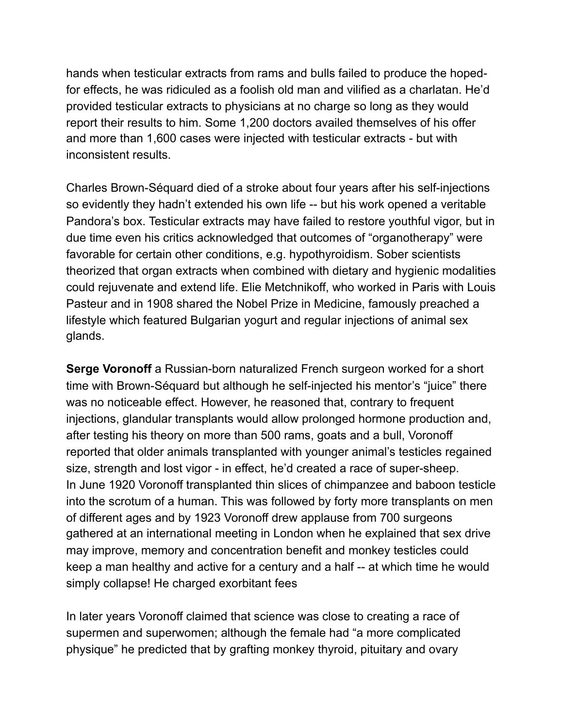hands when testicular extracts from rams and bulls failed to produce the hopedfor effects, he was ridiculed as a foolish old man and vilified as a charlatan. He'd provided testicular extracts to physicians at no charge so long as they would report their results to him. Some 1,200 doctors availed themselves of his offer and more than 1,600 cases were injected with testicular extracts - but with inconsistent results.

Charles Brown-Séquard died of a stroke about four years after his self-injections so evidently they hadn't extended his own life -- but his work opened a veritable Pandora's box. Testicular extracts may have failed to restore youthful vigor, but in due time even his critics acknowledged that outcomes of "organotherapy" were favorable for certain other conditions, e.g. hypothyroidism. Sober scientists theorized that organ extracts when combined with dietary and hygienic modalities could rejuvenate and extend life. Elie Metchnikoff, who worked in Paris with Louis Pasteur and in 1908 shared the Nobel Prize in Medicine, famously preached a lifestyle which featured Bulgarian yogurt and regular injections of animal sex glands.

**Serge Voronoff** a Russian-born naturalized French surgeon worked for a short time with Brown-Séquard but although he self-injected his mentor's "juice" there was no noticeable effect. However, he reasoned that, contrary to frequent injections, glandular transplants would allow prolonged hormone production and, after testing his theory on more than 500 rams, goats and a bull, Voronoff reported that older animals transplanted with younger animal's testicles regained size, strength and lost vigor - in effect, he'd created a race of super-sheep. In June 1920 Voronoff transplanted thin slices of chimpanzee and baboon testicle into the scrotum of a human. This was followed by forty more transplants on men of different ages and by 1923 Voronoff drew applause from 700 surgeons gathered at an international meeting in London when he explained that sex drive may improve, memory and concentration benefit and monkey testicles could keep a man healthy and active for a century and a half -- at which time he would simply collapse! He charged exorbitant fees

In later years Voronoff claimed that science was close to creating a race of supermen and superwomen; although the female had "a more complicated physique" he predicted that by grafting monkey thyroid, pituitary and ovary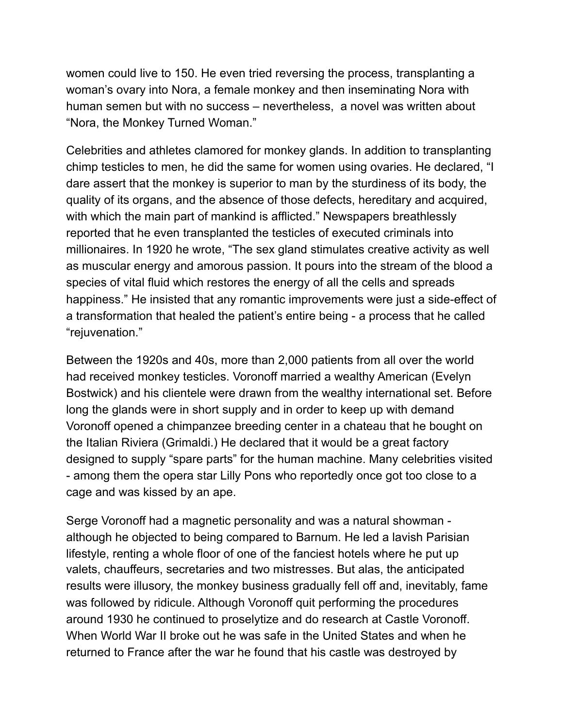women could live to 150. He even tried reversing the process, transplanting a woman's ovary into Nora, a female monkey and then inseminating Nora with human semen but with no success – nevertheless, a novel was written about "Nora, the Monkey Turned Woman."

Celebrities and athletes clamored for monkey glands. In addition to transplanting chimp testicles to men, he did the same for women using ovaries. He declared, "I dare assert that the monkey is superior to man by the sturdiness of its body, the quality of its organs, and the absence of those defects, hereditary and acquired, with which the main part of mankind is afflicted." Newspapers breathlessly reported that he even transplanted the testicles of executed criminals into millionaires. In 1920 he wrote, "The sex gland stimulates creative activity as well as muscular energy and amorous passion. It pours into the stream of the blood a species of vital fluid which restores the energy of all the cells and spreads happiness." He insisted that any romantic improvements were just a side-effect of a transformation that healed the patient's entire being - a process that he called "rejuvenation."

Between the 1920s and 40s, more than 2,000 patients from all over the world had received monkey testicles. Voronoff married a wealthy American (Evelyn Bostwick) and his clientele were drawn from the wealthy international set. Before long the glands were in short supply and in order to keep up with demand Voronoff opened a chimpanzee breeding center in a chateau that he bought on the Italian Riviera (Grimaldi.) He declared that it would be a great factory designed to supply "spare parts" for the human machine. Many celebrities visited - among them the opera star Lilly Pons who reportedly once got too close to a cage and was kissed by an ape.

Serge Voronoff had a magnetic personality and was a natural showman although he objected to being compared to Barnum. He led a lavish Parisian lifestyle, renting a whole floor of one of the fanciest hotels where he put up valets, chauffeurs, secretaries and two mistresses. But alas, the anticipated results were illusory, the monkey business gradually fell off and, inevitably, fame was followed by ridicule. Although Voronoff quit performing the procedures around 1930 he continued to proselytize and do research at Castle Voronoff. When World War II broke out he was safe in the United States and when he returned to France after the war he found that his castle was destroyed by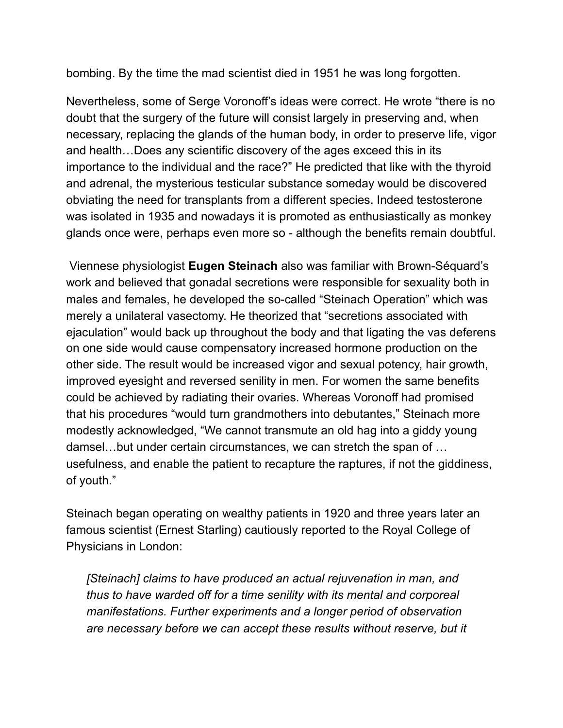bombing. By the time the mad scientist died in 1951 he was long forgotten.

Nevertheless, some of Serge Voronoff's ideas were correct. He wrote "there is no doubt that the surgery of the future will consist largely in preserving and, when necessary, replacing the glands of the human body, in order to preserve life, vigor and health…Does any scientific discovery of the ages exceed this in its importance to the individual and the race?" He predicted that like with the thyroid and adrenal, the mysterious testicular substance someday would be discovered obviating the need for transplants from a different species. Indeed testosterone was isolated in 1935 and nowadays it is promoted as enthusiastically as monkey glands once were, perhaps even more so - although the benefits remain doubtful.

 Viennese physiologist **Eugen Steinach** also was familiar with Brown-Séquard's work and believed that gonadal secretions were responsible for sexuality both in males and females, he developed the so-called "Steinach Operation" which was merely a unilateral vasectomy. He theorized that "secretions associated with ejaculation" would back up throughout the body and that ligating the vas deferens on one side would cause compensatory increased hormone production on the other side. The result would be increased vigor and sexual potency, hair growth, improved eyesight and reversed senility in men. For women the same benefits could be achieved by radiating their ovaries. Whereas Voronoff had promised that his procedures "would turn grandmothers into debutantes," Steinach more modestly acknowledged, "We cannot transmute an old hag into a giddy young damsel…but under certain circumstances, we can stretch the span of … usefulness, and enable the patient to recapture the raptures, if not the giddiness, of youth."

Steinach began operating on wealthy patients in 1920 and three years later an famous scientist (Ernest Starling) cautiously reported to the Royal College of Physicians in London:

*[Steinach] claims to have produced an actual rejuvenation in man, and thus to have warded off for a time senility with its mental and corporeal manifestations. Further experiments and a longer period of observation*  are necessary before we can accept these results without reserve, but it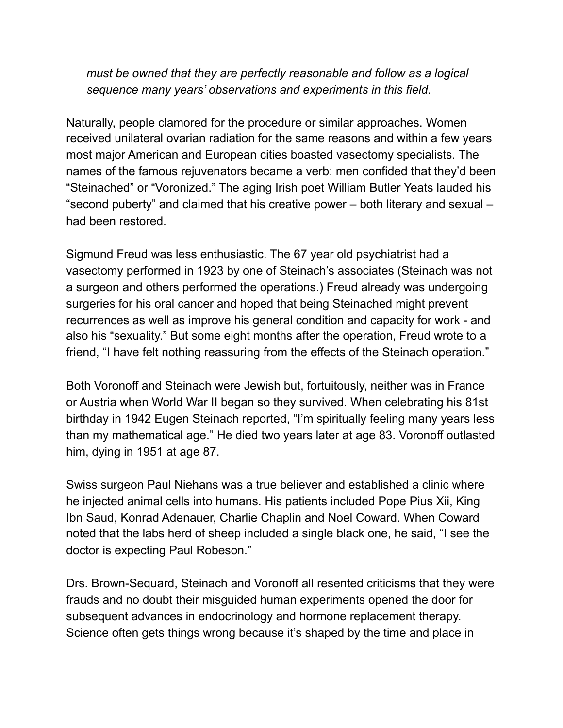*must be owned that they are perfectly reasonable and follow as a logical sequence many years' observations and experiments in this field.* 

Naturally, people clamored for the procedure or similar approaches. Women received unilateral ovarian radiation for the same reasons and within a few years most major American and European cities boasted vasectomy specialists. The names of the famous rejuvenators became a verb: men confided that they'd been "Steinached" or "Voronized." The aging Irish poet William Butler Yeats lauded his "second puberty" and claimed that his creative power – both literary and sexual – had been restored.

Sigmund Freud was less enthusiastic. The 67 year old psychiatrist had a vasectomy performed in 1923 by one of Steinach's associates (Steinach was not a surgeon and others performed the operations.) Freud already was undergoing surgeries for his oral cancer and hoped that being Steinached might prevent recurrences as well as improve his general condition and capacity for work - and also his "sexuality." But some eight months after the operation, Freud wrote to a friend, "I have felt nothing reassuring from the effects of the Steinach operation."

Both Voronoff and Steinach were Jewish but, fortuitously, neither was in France or Austria when World War II began so they survived. When celebrating his 81st birthday in 1942 Eugen Steinach reported, "I'm spiritually feeling many years less than my mathematical age." He died two years later at age 83. Voronoff outlasted him, dying in 1951 at age 87.

Swiss surgeon Paul Niehans was a true believer and established a clinic where he injected animal cells into humans. His patients included Pope Pius Xii, King Ibn Saud, Konrad Adenauer, Charlie Chaplin and Noel Coward. When Coward noted that the labs herd of sheep included a single black one, he said, "I see the doctor is expecting Paul Robeson."

Drs. Brown-Sequard, Steinach and Voronoff all resented criticisms that they were frauds and no doubt their misguided human experiments opened the door for subsequent advances in endocrinology and hormone replacement therapy. Science often gets things wrong because it's shaped by the time and place in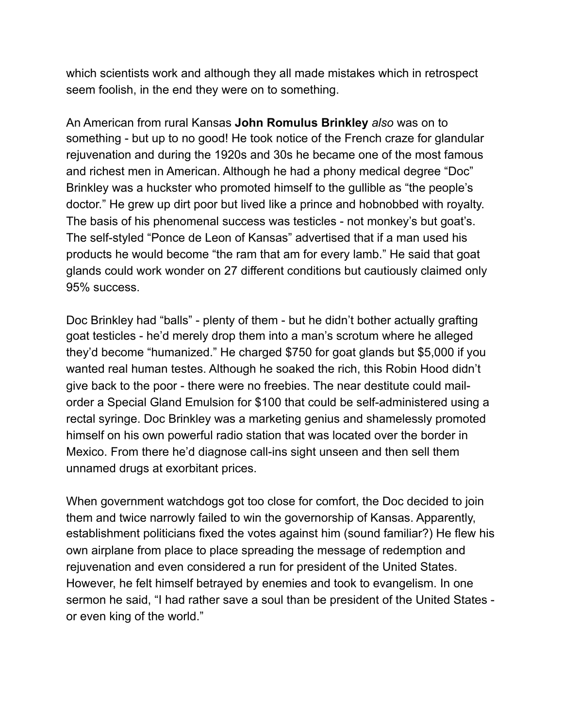which scientists work and although they all made mistakes which in retrospect seem foolish, in the end they were on to something.

An American from rural Kansas **John Romulus Brinkley** *also* was on to something - but up to no good! He took notice of the French craze for glandular rejuvenation and during the 1920s and 30s he became one of the most famous and richest men in American. Although he had a phony medical degree "Doc" Brinkley was a huckster who promoted himself to the gullible as "the people's doctor." He grew up dirt poor but lived like a prince and hobnobbed with royalty. The basis of his phenomenal success was testicles - not monkey's but goat's. The self-styled "Ponce de Leon of Kansas" advertised that if a man used his products he would become "the ram that am for every lamb." He said that goat glands could work wonder on 27 different conditions but cautiously claimed only 95% success.

Doc Brinkley had "balls" - plenty of them - but he didn't bother actually grafting goat testicles - he'd merely drop them into a man's scrotum where he alleged they'd become "humanized." He charged \$750 for goat glands but \$5,000 if you wanted real human testes. Although he soaked the rich, this Robin Hood didn't give back to the poor - there were no freebies. The near destitute could mailorder a Special Gland Emulsion for \$100 that could be self-administered using a rectal syringe. Doc Brinkley was a marketing genius and shamelessly promoted himself on his own powerful radio station that was located over the border in Mexico. From there he'd diagnose call-ins sight unseen and then sell them unnamed drugs at exorbitant prices.

When government watchdogs got too close for comfort, the Doc decided to join them and twice narrowly failed to win the governorship of Kansas. Apparently, establishment politicians fixed the votes against him (sound familiar?) He flew his own airplane from place to place spreading the message of redemption and rejuvenation and even considered a run for president of the United States. However, he felt himself betrayed by enemies and took to evangelism. In one sermon he said, "I had rather save a soul than be president of the United States or even king of the world."